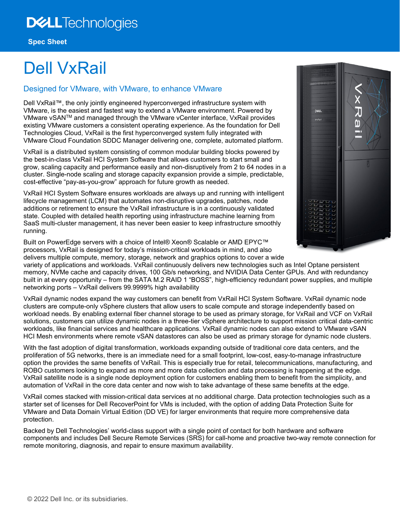# Dell VxRail

## Designed for VMware, with VMware, to enhance VMware

Dell VxRail™, the only jointly engineered hyperconverged infrastructure system with VMware, is the easiest and fastest way to extend a VMware environment. Powered by VMware vSANTM and managed through the VMware vCenter interface, VxRail provides existing VMware customers a consistent operating experience. As the foundation for Dell Technologies Cloud, VxRail is the first hyperconverged system fully integrated with VMware Cloud Foundation SDDC Manager delivering one, complete, automated platform.

VxRail is a distributed system consisting of common modular building blocks powered by the best-in-class VxRail HCI System Software that allows customers to start small and grow, scaling capacity and performance easily and non-disruptively from 2 to 64 nodes in a cluster. Single-node scaling and storage capacity expansion provide a simple, predictable, cost-effective "pay-as-you-grow" approach for future growth as needed.

VxRail HCI System Software ensures workloads are always up and running with intelligent lifecycle management (LCM) that automates non-disruptive upgrades, patches, node additions or retirement to ensure the VxRail infrastructure is in a continuously validated state. Coupled with detailed health reporting using infrastructure machine learning from SaaS multi-cluster management, it has never been easier to keep infrastructure smoothly running.

Built on PowerEdge servers with a choice of Intel® Xeon® Scalable or AMD EPYC™ processors, VxRail is designed for today's mission-critical workloads in mind, and also delivers multiple compute, memory, storage, network and graphics options to cover a wide **F** 

variety of applications and workloads. VxRail continuously delivers new technologies such as Intel Optane persistent memory, NVMe cache and capacity drives, 100 Gb/s networking, and NVIDIA Data Center GPUs. And with redundancy built in at every opportunity – from the SATA M.2 RAID 1 "BOSS", high-efficiency redundant power supplies, and multiple networking ports – VxRail delivers 99.9999% high availability

VxRail dynamic nodes expand the way customers can benefit from VxRail HCI System Software. VxRail dynamic node clusters are compute-only vSphere clusters that allow users to scale compute and storage independently based on workload needs. By enabling external fiber channel storage to be used as primary storage, for VxRail and VCF on VxRail solutions, customers can utilize dynamic nodes in a three-tier vSphere architecture to support mission critical data-centric workloads, like financial services and healthcare applications. VxRail dynamic nodes can also extend to VMware vSAN HCI Mesh environments where remote vSAN datastores can also be used as primary storage for dynamic node clusters.

With the fast adoption of digital transformation, workloads expanding outside of traditional core data centers, and the proliferation of 5G networks, there is an immediate need for a small footprint, low-cost, easy-to-manage infrastructure option the provides the same benefits of VxRail. This is especially true for retail, telecommunications, manufacturing, and ROBO customers looking to expand as more and more data collection and data processing is happening at the edge. VxRail satellite node is a single node deployment option for customers enabling them to benefit from the simplicity, and automation of VxRail in the core data center and now wish to take advantage of these same benefits at the edge.

VxRail comes stacked with mission-critical data services at no additional charge. Data protection technologies such as a starter set of licenses for Dell RecoverPoint for VMs is included, with the option of adding Data Protection Suite for VMware and Data Domain Virtual Edition (DD VE) for larger environments that require more comprehensive data protection.

Backed by Dell Technologies' world-class support with a single point of contact for both hardware and software components and includes Dell Secure Remote Services (SRS) for call-home and proactive two-way remote connection for remote monitoring, diagnosis, and repair to ensure maximum availability.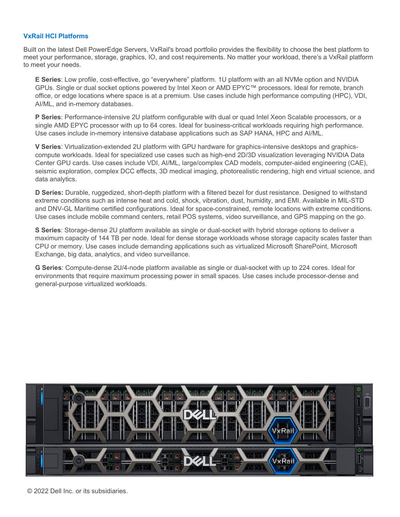#### **VxRail HCI Platforms**

Built on the latest Dell PowerEdge Servers, VxRail's broad portfolio provides the flexibility to choose the best platform to meet your performance, storage, graphics, IO, and cost requirements. No matter your workload, there's a VxRail platform to meet your needs.

**E Series**: Low profile, cost-effective, go "everywhere" platform. 1U platform with an all NVMe option and NVIDIA GPUs. Single or dual socket options powered by Intel Xeon or AMD EPYC™ processors. Ideal for remote, branch office, or edge locations where space is at a premium. Use cases include high performance computing (HPC), VDI, AI/ML, and in-memory databases.

**P Series**: Performance-intensive 2U platform configurable with dual or quad Intel Xeon Scalable processors, or a single AMD EPYC processor with up to 64 cores. Ideal for business-critical workloads requiring high performance. Use cases include in-memory intensive database applications such as SAP HANA, HPC and AI/ML.

**V Series**: Virtualization-extended 2U platform with GPU hardware for graphics-intensive desktops and graphicscompute workloads. Ideal for specialized use cases such as high-end 2D/3D visualization leveraging NVIDIA Data Center GPU cards. Use cases include VDI, AI/ML, large/complex CAD models, computer-aided engineering (CAE), seismic exploration, complex DCC effects, 3D medical imaging, photorealistic rendering, high end virtual science, and data analytics.

**D Series:** Durable, ruggedized, short-depth platform with a filtered bezel for dust resistance. Designed to withstand extreme conditions such as intense heat and cold, shock, vibration, dust, humidity, and EMI. Available in MIL-STD and DNV-GL Maritime certified configurations. Ideal for space-constrained, remote locations with extreme conditions. Use cases include mobile command centers, retail POS systems, video surveillance, and GPS mapping on the go.

**S Series**: Storage-dense 2U platform available as single or dual-socket with hybrid storage options to deliver a maximum capacity of 144 TB per node. Ideal for dense storage workloads whose storage capacity scales faster than CPU or memory. Use cases include demanding applications such as virtualized Microsoft SharePoint, Microsoft Exchange, big data, analytics, and video surveillance.

**G Series**: Compute-dense 2U/4-node platform available as single or dual-socket with up to 224 cores. Ideal for environments that require maximum processing power in small spaces. Use cases include processor-dense and general-purpose virtualized workloads.

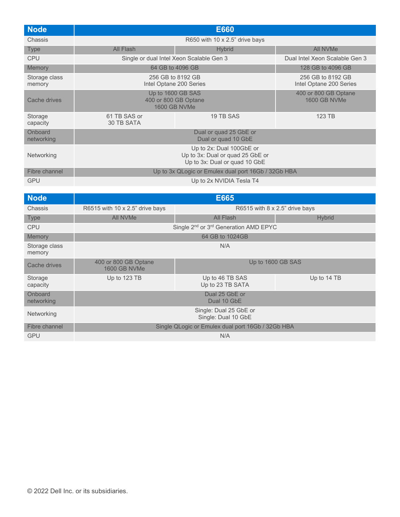| <b>Node</b>             | <b>E660</b>                                                                                   |                                          |                                              |
|-------------------------|-----------------------------------------------------------------------------------------------|------------------------------------------|----------------------------------------------|
| Chassis                 |                                                                                               | R650 with 10 x 2.5" drive bays           |                                              |
| <b>Type</b>             | All Flash                                                                                     | <b>Hybrid</b>                            | All NVMe                                     |
| <b>CPU</b>              |                                                                                               | Single or dual Intel Xeon Scalable Gen 3 | Dual Intel Xeon Scalable Gen 3               |
| <b>Memory</b>           |                                                                                               | 64 GB to 4096 GB                         | 128 GB to 4096 GB                            |
| Storage class<br>memory | 256 GB to 8192 GB<br>Intel Optane 200 Series                                                  |                                          | 256 GB to 8192 GB<br>Intel Optane 200 Series |
| Cache drives            | Up to 1600 GB SAS<br>400 or 800 GB Optane<br><b>1600 GB NVMe</b>                              |                                          | 400 or 800 GB Optane<br><b>1600 GB NVMe</b>  |
| Storage<br>capacity     | 61 TB SAS or<br>30 TB SATA                                                                    | 19 TB SAS                                | 123 TB                                       |
| Onboard<br>networking   | Dual or quad 25 GbE or<br>Dual or quad 10 GbE                                                 |                                          |                                              |
| Networking              | Up to 2x: Dual 100GbE or<br>Up to 3x: Dual or quad 25 GbE or<br>Up to 3x: Dual or quad 10 GbE |                                          |                                              |
| Fibre channel           | Up to 3x QLogic or Emulex dual port 16Gb / 32Gb HBA                                           |                                          |                                              |
| <b>GPU</b>              | Up to 2x NVIDIA Tesla T4                                                                      |                                          |                                              |

| <b>Node</b>             | <b>E665</b>                                                                      |                                                               |               |
|-------------------------|----------------------------------------------------------------------------------|---------------------------------------------------------------|---------------|
| Chassis                 | R6515 with 10 $\times$ 2.5" drive bays<br>R6515 with $8 \times 2.5$ " drive bays |                                                               |               |
| <b>Type</b>             | All NVMe                                                                         | All Flash                                                     | <b>Hybrid</b> |
| <b>CPU</b>              |                                                                                  | Single 2 <sup>nd</sup> or 3 <sup>rd</sup> Generation AMD EPYC |               |
| Memory                  |                                                                                  | 64 GB to 1024GB                                               |               |
| Storage class<br>memory | N/A                                                                              |                                                               |               |
| Cache drives            | 400 or 800 GB Optane<br><b>1600 GB NVMe</b>                                      | Up to 1600 GB SAS                                             |               |
| Storage<br>capacity     | Up to 123 TB                                                                     | Up to 46 TB SAS<br>Up to 23 TB SATA                           | Up to 14 TB   |
| Onboard<br>networking   | Dual 25 GbE or<br>Dual 10 GbE                                                    |                                                               |               |
| Networking              | Single: Dual 25 GbE or<br>Single: Dual 10 GbE                                    |                                                               |               |
| Fibre channel           | Single QLogic or Emulex dual port 16Gb / 32Gb HBA                                |                                                               |               |
| <b>GPU</b>              |                                                                                  | N/A                                                           |               |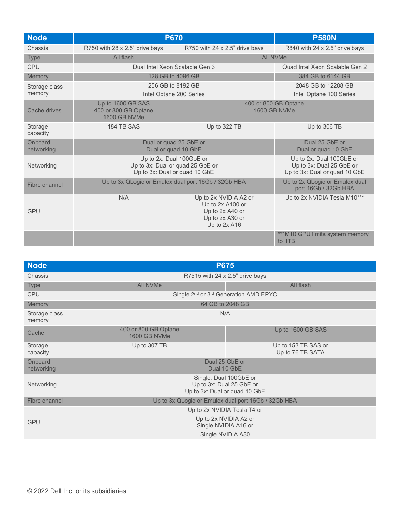| <b>Node</b>           | <b>P670</b>                                                                                   |                                                                                                 | <b>P580N</b>                                                                          |  |
|-----------------------|-----------------------------------------------------------------------------------------------|-------------------------------------------------------------------------------------------------|---------------------------------------------------------------------------------------|--|
| Chassis               | R750 with 28 x 2.5" drive bays                                                                | R750 with 24 x 2.5" drive bays                                                                  | R840 with 24 x 2.5" drive bays                                                        |  |
| <b>Type</b>           | All flash                                                                                     |                                                                                                 | <b>All NVMe</b>                                                                       |  |
| <b>CPU</b>            | Dual Intel Xeon Scalable Gen 3                                                                |                                                                                                 | Quad Intel Xeon Scalable Gen 2                                                        |  |
| Memory                |                                                                                               | 128 GB to 4096 GB                                                                               | 384 GB to 6144 GB                                                                     |  |
| Storage class         | 256 GB to 8192 GB                                                                             |                                                                                                 | 2048 GB to 12288 GB                                                                   |  |
| memory                |                                                                                               | Intel Optane 200 Series                                                                         | Intel Optane 100 Series                                                               |  |
| Cache drives          | Up to 1600 GB SAS<br>400 or 800 GB Optane<br><b>1600 GB NVMe</b>                              |                                                                                                 | 400 or 800 GB Optane<br><b>1600 GB NVMe</b>                                           |  |
| Storage<br>capacity   | 184 TB SAS                                                                                    | Up to 322 TB                                                                                    | Up to 306 TB                                                                          |  |
| Onboard<br>networking | Dual or guad 25 GbE or<br>Dual or quad 10 GbE                                                 |                                                                                                 | Dual 25 GbE or<br>Dual or quad 10 GbE                                                 |  |
| Networking            | Up to 2x: Dual 100GbE or<br>Up to 3x: Dual or quad 25 GbE or<br>Up to 3x: Dual or quad 10 GbE |                                                                                                 | Up to 2x: Dual 100GbE or<br>Up to 3x: Dual 25 GbE or<br>Up to 3x: Dual or quad 10 GbE |  |
| Fibre channel         | Up to 3x QLogic or Emulex dual port 16Gb / 32Gb HBA                                           |                                                                                                 | Up to 2x QLogic or Emulex dual<br>port 16Gb / 32Gb HBA                                |  |
| <b>GPU</b>            | N/A                                                                                           | Up to 2x NVIDIA A2 or<br>Up to 2x A100 or<br>Up to 2x A40 or<br>Up to 2x A30 or<br>Up to 2x A16 | Up to 2x NVIDIA Tesla M10***                                                          |  |
|                       |                                                                                               |                                                                                                 | ***M10 GPU limits system memory<br>to 1TB                                             |  |

| <b>Node</b>             | <b>P675</b>                                                                         |                                         |
|-------------------------|-------------------------------------------------------------------------------------|-----------------------------------------|
| Chassis                 | R7515 with 24 $\times$ 2.5" drive bays                                              |                                         |
| <b>Type</b>             | All NVMe                                                                            | All flash                               |
| <b>CPU</b>              | Single 2 <sup>nd</sup> or 3 <sup>rd</sup> Generation AMD EPYC                       |                                         |
| Memory                  | 64 GB to 2048 GB                                                                    |                                         |
| Storage class<br>memory | N/A                                                                                 |                                         |
| Cache                   | 400 or 800 GB Optane<br><b>1600 GB NVMe</b>                                         | Up to 1600 GB SAS                       |
| Storage<br>capacity     | Up to 307 TB                                                                        | Up to 153 TB SAS or<br>Up to 76 TB SATA |
| Onboard<br>networking   | Dual 25 GbE or<br>Dual 10 GbE                                                       |                                         |
| Networking              | Single: Dual 100GbE or<br>Up to 3x: Dual 25 GbE or<br>Up to 3x: Dual or quad 10 GbE |                                         |
| Fibre channel           | Up to 3x QLogic or Emulex dual port 16Gb / 32Gb HBA                                 |                                         |
|                         | Up to 2x NVIDIA Tesla T4 or                                                         |                                         |
| <b>GPU</b>              | Up to 2x NVIDIA A2 or<br>Single NVIDIA A16 or                                       |                                         |
|                         | Single NVIDIA A30                                                                   |                                         |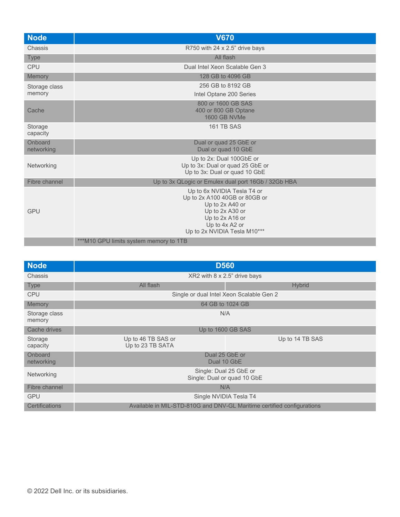| <b>Node</b>           | <b>V670</b>                                                                                                                                                             |
|-----------------------|-------------------------------------------------------------------------------------------------------------------------------------------------------------------------|
| Chassis               | R750 with 24 x 2.5" drive bays                                                                                                                                          |
| <b>Type</b>           | All flash                                                                                                                                                               |
| <b>CPU</b>            | Dual Intel Xeon Scalable Gen 3                                                                                                                                          |
| Memory                | 128 GB to 4096 GB                                                                                                                                                       |
| Storage class         | 256 GB to 8192 GB                                                                                                                                                       |
| memory                | Intel Optane 200 Series                                                                                                                                                 |
| Cache                 | 800 or 1600 GB SAS<br>400 or 800 GB Optane<br>1600 GB NVMe                                                                                                              |
| Storage<br>capacity   | 161 TB SAS                                                                                                                                                              |
| Onboard<br>networking | Dual or guad 25 GbE or<br>Dual or quad 10 GbE                                                                                                                           |
| Networking            | Up to 2x: Dual 100GbE or<br>Up to 3x: Dual or quad 25 GbE or<br>Up to 3x: Dual or quad 10 GbE                                                                           |
| Fibre channel         | Up to 3x QLogic or Emulex dual port 16Gb / 32Gb HBA                                                                                                                     |
| <b>GPU</b>            | Up to 6x NVIDIA Tesla T4 or<br>Up to 2x A100 40GB or 80GB or<br>Up to 2x A40 or<br>Up to 2x A30 or<br>Up to 2x A16 or<br>Up to 4x A2 or<br>Up to 2x NVIDIA Tesla M10*** |
|                       | ***M10 GPU limits system memory to 1TB                                                                                                                                  |

| <b>Node</b>             | <b>D560</b>                                           |                                                                        |
|-------------------------|-------------------------------------------------------|------------------------------------------------------------------------|
| Chassis                 |                                                       | XR2 with 8 x 2.5" drive bays                                           |
| <b>Type</b>             | All flash                                             | <b>Hybrid</b>                                                          |
| <b>CPU</b>              |                                                       | Single or dual Intel Xeon Scalable Gen 2                               |
| Memory                  | 64 GB to 1024 GB                                      |                                                                        |
| Storage class<br>memory | N/A                                                   |                                                                        |
| Cache drives            | Up to 1600 GB SAS                                     |                                                                        |
| Storage<br>capacity     | Up to 46 TB SAS or<br>Up to 23 TB SATA                | Up to 14 TB SAS                                                        |
| Onboard<br>networking   | Dual 25 GbE or<br>Dual 10 GbE                         |                                                                        |
| Networking              | Single: Dual 25 GbE or<br>Single: Dual or quad 10 GbE |                                                                        |
| Fibre channel           | N/A                                                   |                                                                        |
| <b>GPU</b>              | Single NVIDIA Tesla T4                                |                                                                        |
| <b>Certifications</b>   |                                                       | Available in MIL-STD-810G and DNV-GL Maritime certified configurations |
|                         |                                                       |                                                                        |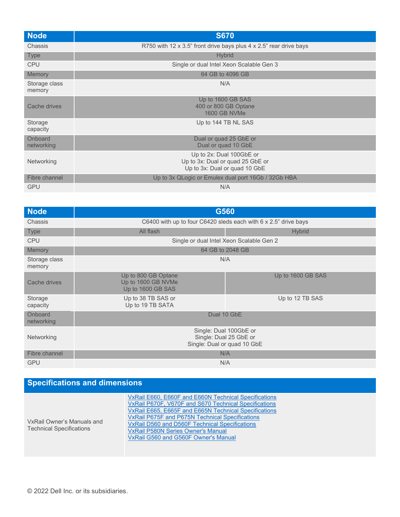| <b>Node</b>             | <b>S670</b>                                                                                   |
|-------------------------|-----------------------------------------------------------------------------------------------|
| Chassis                 | R750 with 12 x 3.5" front drive bays plus 4 x 2.5" rear drive bays                            |
| <b>Type</b>             | <b>Hybrid</b>                                                                                 |
| <b>CPU</b>              | Single or dual Intel Xeon Scalable Gen 3                                                      |
| Memory                  | 64 GB to 4096 GB                                                                              |
| Storage class<br>memory | N/A                                                                                           |
| Cache drives            | Up to 1600 GB SAS<br>400 or 800 GB Optane<br><b>1600 GB NVMe</b>                              |
| Storage<br>capacity     | Up to 144 TB NL SAS                                                                           |
| Onboard<br>networking   | Dual or quad 25 GbE or<br>Dual or quad 10 GbE                                                 |
| Networking              | Up to 2x: Dual 100GbE or<br>Up to 3x: Dual or quad 25 GbE or<br>Up to 3x: Dual or quad 10 GbE |
| Fibre channel           | Up to 3x QLogic or Emulex dual port 16Gb / 32Gb HBA                                           |
| <b>GPU</b>              | N/A                                                                                           |

| <b>Node</b>             | G560                                                                            |                                                                 |
|-------------------------|---------------------------------------------------------------------------------|-----------------------------------------------------------------|
| Chassis                 |                                                                                 | C6400 with up to four C6420 sleds each with 6 x 2.5" drive bays |
| <b>Type</b>             | All flash                                                                       | <b>Hybrid</b>                                                   |
| <b>CPU</b>              | Single or dual Intel Xeon Scalable Gen 2                                        |                                                                 |
| Memory                  |                                                                                 | 64 GB to 2048 GB                                                |
| Storage class<br>memory | N/A                                                                             |                                                                 |
| Cache drives            | Up to 800 GB Optane<br>Up to 1600 GB NVMe<br>Up to 1600 GB SAS                  | Up to 1600 GB SAS                                               |
| Storage<br>capacity     | Up to 38 TB SAS or<br>Up to 19 TB SATA                                          | Up to 12 TB SAS                                                 |
| Onboard<br>networking   | Dual 10 GbE                                                                     |                                                                 |
| Networking              | Single: Dual 100GbE or<br>Single: Dual 25 GbE or<br>Single: Dual or quad 10 GbE |                                                                 |
| Fibre channel           | N/A                                                                             |                                                                 |
| <b>GPU</b>              | N/A                                                                             |                                                                 |

## **Specifications and dimensions**

| VxRail Owner's Manuals and<br><b>Technical Specifications</b> | VxRail E660, E660F and E660N Technical Specifications<br>VxRail P670F, V670F and S670 Technical Specifications<br>VxRail E665, E665F and E665N Technical Specifications<br>VxRail P675F and P675N Technical Specifications<br>VxRail D560 and D560F Technical Specifications<br><b>VxRail P580N Series Owner's Manual</b><br>VxRail G560 and G560F Owner's Manual |
|---------------------------------------------------------------|-------------------------------------------------------------------------------------------------------------------------------------------------------------------------------------------------------------------------------------------------------------------------------------------------------------------------------------------------------------------|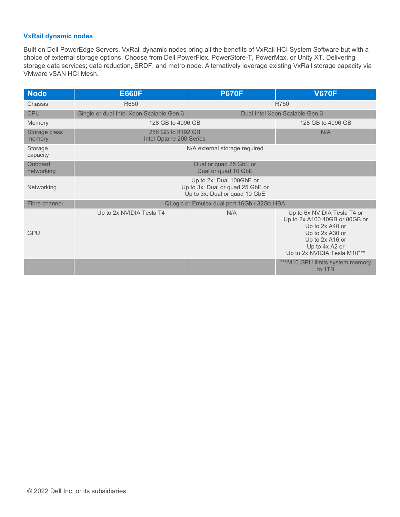## **VxRail dynamic nodes**

Built on Dell PowerEdge Servers, VxRail dynamic nodes bring all the benefits of VxRail HCI System Software but with a choice of external storage options. Choose from Dell PowerFlex, PowerStore-T, PowerMax, or Unity XT. Delivering storage data services; data reduction, SRDF, and metro node. Alternatively leverage existing VxRail storage capacity via VMware vSAN HCI Mesh.

| <b>Node</b>             | <b>E660F</b>                                                                                  | <b>P670F</b>                  | <b>V670F</b>                                                                                                                                                            |  |
|-------------------------|-----------------------------------------------------------------------------------------------|-------------------------------|-------------------------------------------------------------------------------------------------------------------------------------------------------------------------|--|
| Chassis                 | R650                                                                                          |                               | R750                                                                                                                                                                    |  |
| <b>CPU</b>              | Single or dual Intel Xeon Scalable Gen 3                                                      |                               | Dual Intel Xeon Scalable Gen 3                                                                                                                                          |  |
| Memory                  | 128 GB to 4096 GB                                                                             |                               | 128 GB to 4096 GB                                                                                                                                                       |  |
| Storage class<br>memory | 256 GB to 8192 GB<br>Intel Optane 200 Series                                                  |                               | N/A                                                                                                                                                                     |  |
| Storage<br>capacity     |                                                                                               | N/A external storage required |                                                                                                                                                                         |  |
| Onboard<br>networking   | Dual or quad 25 GbE or<br>Dual or quad 10 GbE                                                 |                               |                                                                                                                                                                         |  |
| Networking              | Up to 2x: Dual 100GbE or<br>Up to 3x: Dual or quad 25 GbE or<br>Up to 3x: Dual or quad 10 GbE |                               |                                                                                                                                                                         |  |
| Fibre channel           | QLogic or Emulex dual port 16Gb / 32Gb HBA                                                    |                               |                                                                                                                                                                         |  |
| <b>GPU</b>              | Up to 2x NVIDIA Tesla T4                                                                      | N/A                           | Up to 6x NVIDIA Tesla T4 or<br>Up to 2x A100 40GB or 80GB or<br>Up to 2x A40 or<br>Up to 2x A30 or<br>Up to 2x A16 or<br>Up to 4x A2 or<br>Up to 2x NVIDIA Tesla M10*** |  |
|                         |                                                                                               |                               | ***M10 GPU limits system memory<br>to 1TB                                                                                                                               |  |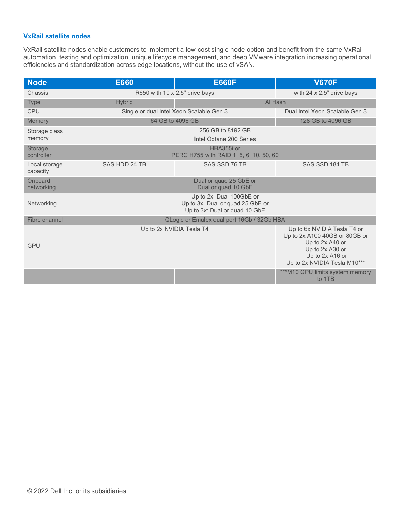### **VxRail satellite nodes**

VxRail satellite nodes enable customers to implement a low-cost single node option and benefit from the same VxRail automation, testing and optimization, unique lifecycle management, and deep VMware integration increasing operational efficiencies and standardization across edge locations, without the use of vSAN.

| <b>Node</b>               | <b>E660</b>                                                                                   | <b>E660F</b>                                          | <b>V670F</b>                                                                                                                                          |
|---------------------------|-----------------------------------------------------------------------------------------------|-------------------------------------------------------|-------------------------------------------------------------------------------------------------------------------------------------------------------|
| Chassis                   | R650 with 10 x 2.5" drive bays                                                                |                                                       | with $24 \times 2.5$ " drive bays                                                                                                                     |
| <b>Type</b>               | <b>Hybrid</b>                                                                                 | All flash                                             |                                                                                                                                                       |
| <b>CPU</b>                |                                                                                               | Single or dual Intel Xeon Scalable Gen 3              | Dual Intel Xeon Scalable Gen 3                                                                                                                        |
| Memory                    | 64 GB to 4096 GB                                                                              |                                                       | 128 GB to 4096 GB                                                                                                                                     |
| Storage class<br>memory   |                                                                                               | 256 GB to 8192 GB<br>Intel Optane 200 Series          |                                                                                                                                                       |
| Storage<br>controller     |                                                                                               | HBA355i or<br>PERC H755 with RAID 1, 5, 6, 10, 50, 60 |                                                                                                                                                       |
| Local storage<br>capacity | SAS HDD 24 TB                                                                                 | SAS SSD 76 TB                                         | SAS SSD 184 TB                                                                                                                                        |
| Onboard<br>networking     | Dual or quad 25 GbE or<br>Dual or quad 10 GbE                                                 |                                                       |                                                                                                                                                       |
| Networking                | Up to 2x: Dual 100GbE or<br>Up to 3x: Dual or quad 25 GbE or<br>Up to 3x: Dual or quad 10 GbE |                                                       |                                                                                                                                                       |
| Fibre channel             | QLogic or Emulex dual port 16Gb / 32Gb HBA                                                    |                                                       |                                                                                                                                                       |
| <b>GPU</b>                |                                                                                               | Up to 2x NVIDIA Tesla T4                              | Up to 6x NVIDIA Tesla T4 or<br>Up to 2x A100 40GB or 80GB or<br>Up to 2x A40 or<br>Up to 2x A30 or<br>Up to 2x A16 or<br>Up to 2x NVIDIA Tesla M10*** |
|                           |                                                                                               |                                                       | ***M10 GPU limits system memory<br>to 1TB                                                                                                             |